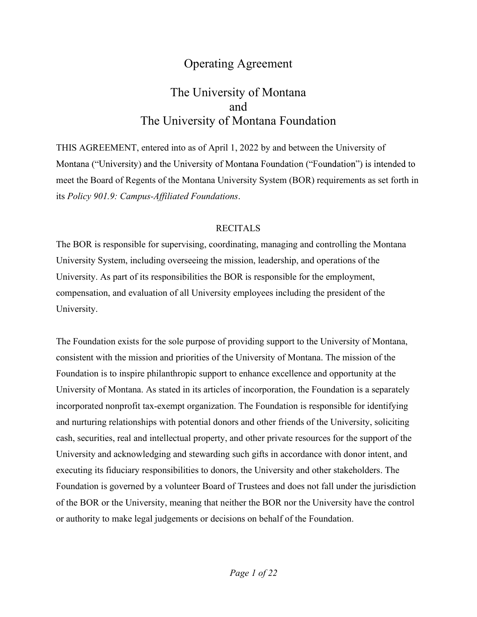# Operating Agreement

# The University of Montana and The University of Montana Foundation

THIS AGREEMENT, entered into as of April 1, 2022 by and between the University of Montana ("University) and the University of Montana Foundation ("Foundation") is intended to meet the Board of Regents of the Montana University System (BOR) requirements as set forth in its *Policy 901.9: Campus-Affiliated Foundations*.<br>RECITALS

The BOR is responsible for supervising, coordinating, managing and controlling the Montana University System, including overseeing the mission, leadership, and operations of the University. As part of its responsibilities the BOR is responsible for the employment, compensation, and evaluation of all University employees including the president of the University.

The Foundation exists for the sole purpose of providing support to the University of Montana, consistent with the mission and priorities of the University of Montana. The mission of the Foundation is to inspire philanthropic support to enhance excellence and opportunity at the University of Montana. As stated in its articles of incorporation, the Foundation is a separately incorporated nonprofit tax-exempt organization. The Foundation is responsible for identifying and nurturing relationships with potential donors and other friends of the University, soliciting cash, securities, real and intellectual property, and other private resources for the support of the University and acknowledging and stewarding such gifts in accordance with donor intent, and executing its fiduciary responsibilities to donors, the University and other stakeholders. The Foundation is governed by a volunteer Board of Trustees and does not fall under the jurisdiction of the BOR or the University, meaning that neither the BOR nor the University have the control or authority to make legal judgements or decisions on behalf of the Foundation.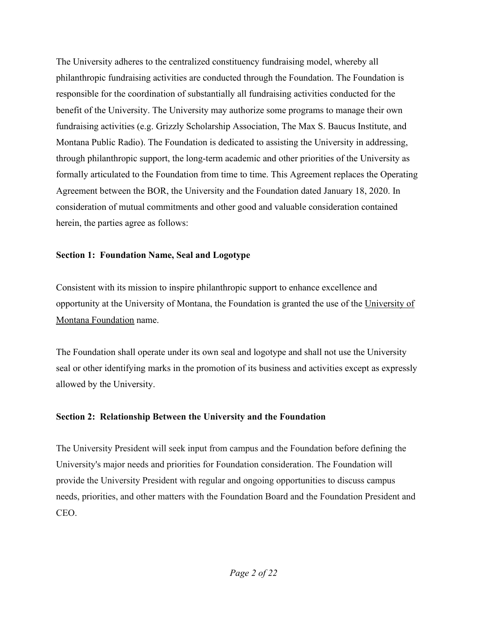The University adheres to the centralized constituency fundraising model, whereby all philanthropic fundraising activities are conducted through the Foundation. The Foundation is responsible for the coordination of substantially all fundraising activities conducted for the benefit of the University. The University may authorize some programs to manage their own fundraising activities (e.g. Grizzly Scholarship Association, The Max S. Baucus Institute, and Montana Public Radio). The Foundation is dedicated to assisting the University in addressing, through philanthropic support, the long-term academic and other priorities of the University as formally articulated to the Foundation from time to time. This Agreement replaces the Operating Agreement between the BOR, the University and the Foundation dated January 18, 2020. In consideration of mutual commitments and other good and valuable consideration contained herein, the parties agree as follows:

#### Section 1: Foundation Name, Seal and Logotype

Consistent with its mission to inspire philanthropic support to enhance excellence and opportunity at the University of Montana, the Foundation is granted the use of the University of Montana Foundation name.

The Foundation shall operate under its own seal and logotype and shall not use the University seal or other identifying marks in the promotion of its business and activities except as expressly allowed by the University.

### Section 2: Relationship Between the University and the Foundation

The University President will seek input from campus and the Foundation before defining the University's major needs and priorities for Foundation consideration. The Foundation will provide the University President with regular and ongoing opportunities to discuss campus needs, priorities, and other matters with the Foundation Board and the Foundation President and CEO.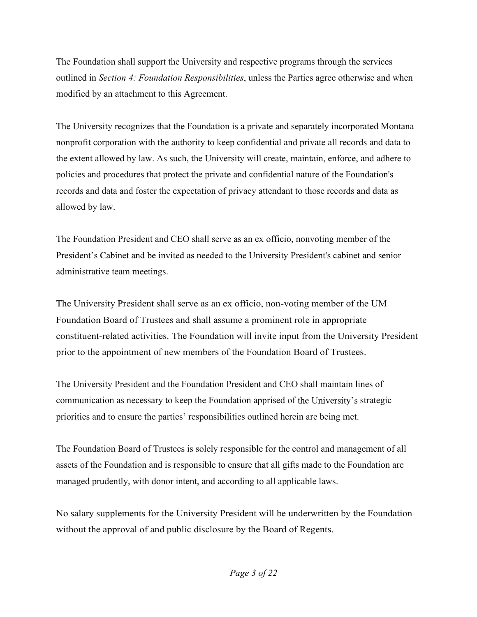The Foundation shall support the University and respective programs through the services outlined in Section 4: Foundation Responsibilities, unless the Parties agree otherwise and when modified by an attachment to this Agreement.

The University recognizes that the Foundation is a private and separately incorporated Montana nonprofit corporation with the authority to keep confidential and private all records and data to the extent allowed by law. As such, the University will create, maintain, enforce, and adhere to policies and procedures that protect the private and confidential nature of the Foundation's records and data and foster the expectation of privacy attendant to those records and data as allowed by law.

The Foundation President and CEO shall serve as an ex officio, nonvoting member of the President's Cabinet and be invited as needed to the University President's cabinet and senior administrative team meetings.

The University President shall serve as an ex officio, non-voting member of the UM Foundation Board of Trustees and shall assume a prominent role in appropriate constituent-related activities. The Foundation will invite input from the University President prior to the appointment of new members of the Foundation Board of Trustees.

The University President and the Foundation President and CEO shall maintain lines of communication as necessary to keep the Foundation apprised of the University's strategic priorities and to ensure the parties' responsibilities outlined herein are being met.

The Foundation Board of Trustees is solely responsible for the control and management of all assets of the Foundation and is responsible to ensure that all gifts made to the Foundation are managed prudently, with donor intent, and according to all applicable laws.

No salary supplements for the University President will be underwritten by the Foundation without the approval of and public disclosure by the Board of Regents.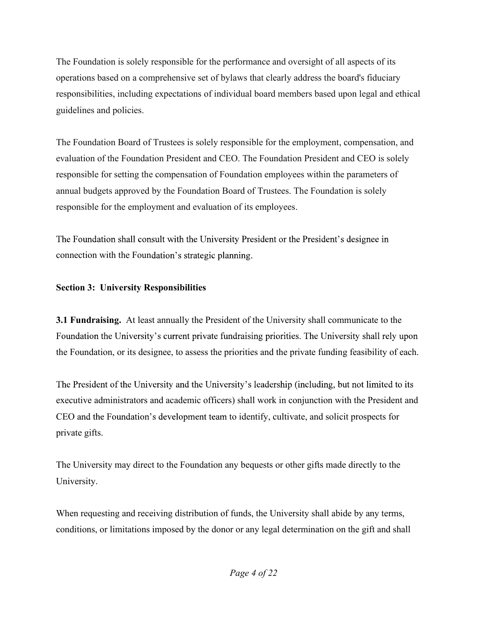The Foundation is solely responsible for the performance and oversight of all aspects of its operations based on a comprehensive set of bylaws that clearly address the board's fiduciary responsibilities, including expectations of individual board members based upon legal and ethical guidelines and policies.

The Foundation Board of Trustees is solely responsible for the employment, compensation, and evaluation of the Foundation President and CEO. The Foundation President and CEO is solely responsible for setting the compensation of Foundation employees within the parameters of annual budgets approved by the Foundation Board of Trustees. The Foundation is solely responsible for the employment and evaluation of its employees.

The Foundation shall consult with the University President or the President's designee in connection with the Foundation's strategic planning.

## Section 3: University Responsibilities

3.1 Fundraising. At least annually the President of the University shall communicate to the Foundation the University's current private fundraising priorities. The University shall rely upon the Foundation, or its designee, to assess the priorities and the private funding feasibility of each.

The President of the University and the University's leadership (including, but not limited to its executive administrators and academic officers) shall work in conjunction with the President and CEO and the Foundation's development team to identify, cultivate, and solicit prospects for private gifts.

The University may direct to the Foundation any bequests or other gifts made directly to the University.

When requesting and receiving distribution of funds, the University shall abide by any terms, conditions, or limitations imposed by the donor or any legal determination on the gift and shall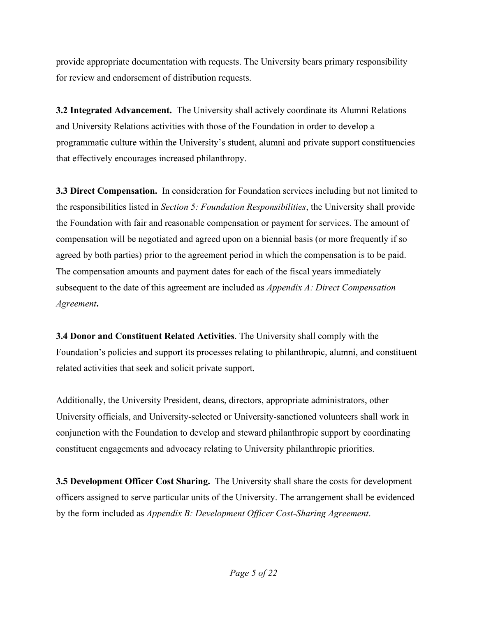provide appropriate documentation with requests. The University bears primary responsibility for review and endorsement of distribution requests.

3.2 Integrated Advancement. The University shall actively coordinate its Alumni Relations and University Relations activities with those of the Foundation in order to develop a programmatic culture within the University's student, alumni and private support constituencies that effectively encourages increased philanthropy.

**3.3 Direct Compensation.** In consideration for Foundation services including but not limited to the responsibilities listed in Section 5: Foundation Responsibilities, the University shall provide the Foundation with fair and reasonable compensation or payment for services. The amount of compensation will be negotiated and agreed upon on a biennial basis (or more frequently if so agreed by both parties) prior to the agreement period in which the compensation is to be paid. The compensation amounts and payment dates for each of the fiscal years immediately subsequent to the date of this agreement are included as *Appendix A: Direct Compensation* Agreement.<br>**3.4 Donor and Constituent Related Activities**. The University shall comply with the

Foundation's policies and support its processes relating to philanthropic, alumni, and constituent related activities that seek and solicit private support.

Additionally, the University President, deans, directors, appropriate administrators, other University officials, and University-selected or University-sanctioned volunteers shall work in conjunction with the Foundation to develop and steward philanthropic support by coordinating constituent engagements and advocacy relating to University philanthropic priorities.

**3.5 Development Officer Cost Sharing.** The University shall share the costs for development officers assigned to serve particular units of the University. The arrangement shall be evidenced by the form included as Appendix B: Development Officer Cost-Sharing Agreement.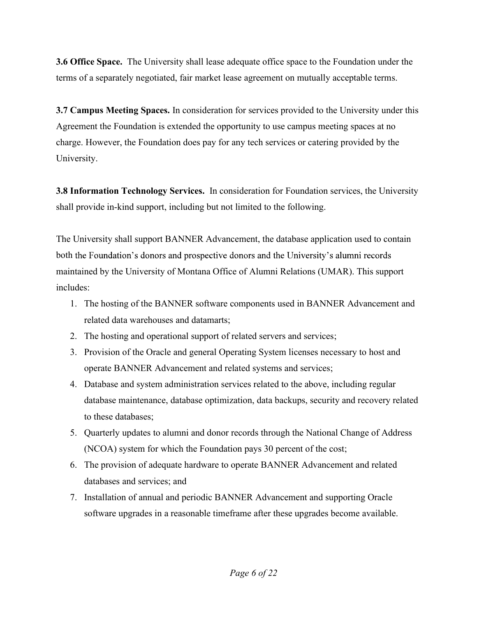3.6 Office Space. The University shall lease adequate office space to the Foundation under the terms of a separately negotiated, fair market lease agreement on mutually acceptable terms.

3.7 Campus Meeting Spaces. In consideration for services provided to the University under this Agreement the Foundation is extended the opportunity to use campus meeting spaces at no charge. However, the Foundation does pay for any tech services or catering provided by the University.

3.8 Information Technology Services. In consideration for Foundation services, the University shall provide in-kind support, including but not limited to the following.

The University shall support BANNER Advancement, the database application used to contain both the Foundation's donors and prospective donors and the University's alumni records maintained by the University of Montana Office of Alumni Relations (UMAR). This support includes:

- 1. The hosting of the BANNER software components used in BANNER Advancement and related data warehouses and datamarts;
- 2. The hosting and operational support of related servers and services;
- 3. Provision of the Oracle and general Operating System licenses necessary to host and operate BANNER Advancement and related systems and services;
- 4. Database and system administration services related to the above, including regular database maintenance, database optimization, data backups, security and recovery related to these databases;
- 5. Quarterly updates to alumni and donor records through the National Change of Address (NCOA) system for which the Foundation pays 30 percent of the cost;
- 6. The provision of adequate hardware to operate BANNER Advancement and related databases and services; and
- 7. Installation of annual and periodic BANNER Advancement and supporting Oracle software upgrades in a reasonable timeframe after these upgrades become available.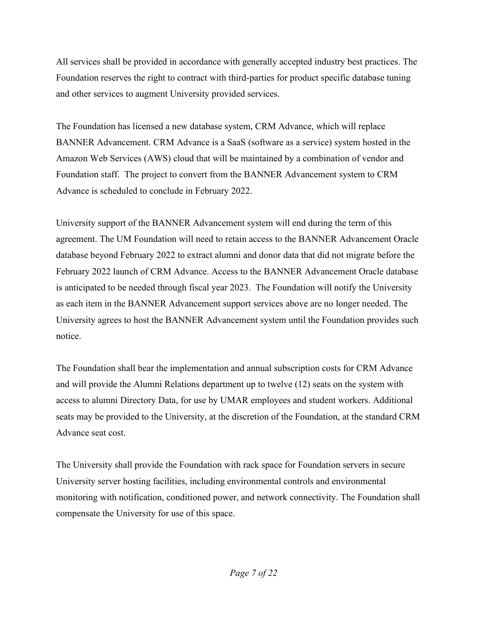All services shall be provided in accordance with generally accepted industry best practices. The Foundation reserves the right to contract with third-parties for product specific database tuning and other services to augment University provided services.

The Foundation has licensed a new database system, CRM Advance, which will replace BANNER Advancement. CRM Advance is a SaaS (software as a service) system hosted in the Amazon Web Services (AWS) cloud that will be maintained by a combination of vendor and Foundation staff. The project to convert from the BANNER Advancement system to CRM Advance is scheduled to conclude in February 2022.

University support of the BANNER Advancement system will end during the term of this agreement. The UM Foundation will need to retain access to the BANNER Advancement Oracle database beyond February 2022 to extract alumni and donor data that did not migrate before the February 2022 launch of CRM Advance. Access to the BANNER Advancement Oracle database is anticipated to be needed through fiscal year 2023. The Foundation will notify the University as each item in the BANNER Advancement support services above are no longer needed. The University agrees to host the BANNER Advancement system until the Foundation provides such notice.

The Foundation shall bear the implementation and annual subscription costs for CRM Advance and will provide the Alumni Relations department up to twelve (12) seats on the system with access to alumni Directory Data, for use by UMAR employees and student workers. Additional seats may be provided to the University, at the discretion of the Foundation, at the standard CRM Advance seat cost.

The University shall provide the Foundation with rack space for Foundation servers in secure University server hosting facilities, including environmental controls and environmental monitoring with notification, conditioned power, and network connectivity. The Foundation shall compensate the University for use of this space.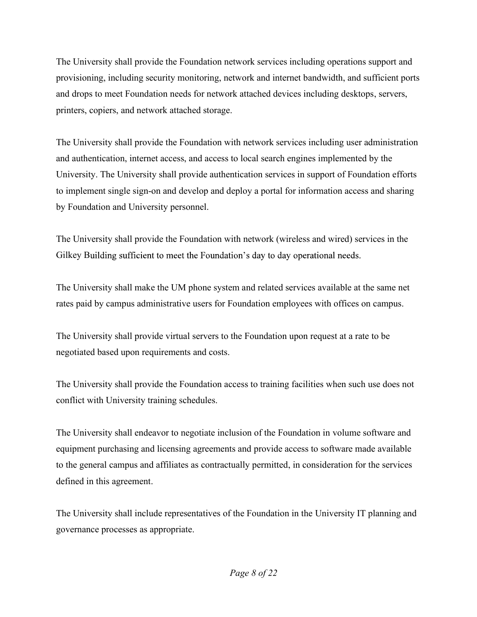The University shall provide the Foundation network services including operations support and provisioning, including security monitoring, network and internet bandwidth, and sufficient ports and drops to meet Foundation needs for network attached devices including desktops, servers, printers, copiers, and network attached storage.

The University shall provide the Foundation with network services including user administration and authentication, internet access, and access to local search engines implemented by the University. The University shall provide authentication services in support of Foundation efforts to implement single sign-on and develop and deploy a portal for information access and sharing by Foundation and University personnel.

The University shall provide the Foundation with network (wireless and wired) services in the Gilkey Building sufficient to meet the Foundation's day to day operational needs.

The University shall make the UM phone system and related services available at the same net rates paid by campus administrative users for Foundation employees with offices on campus.

The University shall provide virtual servers to the Foundation upon request at a rate to be negotiated based upon requirements and costs.

The University shall provide the Foundation access to training facilities when such use does not conflict with University training schedules.

The University shall endeavor to negotiate inclusion of the Foundation in volume software and equipment purchasing and licensing agreements and provide access to software made available to the general campus and affiliates as contractually permitted, in consideration for the services defined in this agreement.

The University shall include representatives of the Foundation in the University IT planning and governance processes as appropriate.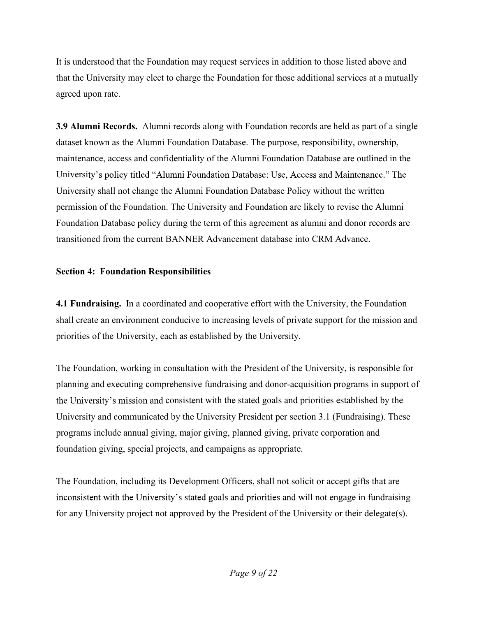It is understood that the Foundation may request services in addition to those listed above and that the University may elect to charge the Foundation for those additional services at a mutually agreed upon rate.

3.9 Alumni Records. Alumni records along with Foundation records are held as part of a single dataset known as the Alumni Foundation Database. The purpose, responsibility, ownership, maintenance, access and confidentiality of the Alumni Foundation Database are outlined in the University's policy titled "Alumni Foundation Database: Use, Access and Maintenance." The University shall not change the Alumni Foundation Database Policy without the written permission of the Foundation. The University and Foundation are likely to revise the Alumni Foundation Database policy during the term of this agreement as alumni and donor records are transitioned from the current BANNER Advancement database into CRM Advance.

### Section 4: Foundation Responsibilities

4.1 Fundraising. In a coordinated and cooperative effort with the University, the Foundation shall create an environment conducive to increasing levels of private support for the mission and priorities of the University, each as established by the University.

The Foundation, working in consultation with the President of the University, is responsible for planning and executing comprehensive fundraising and donor-acquisition programs in support of the University's mission and consistent with the stated goals and priorities established by the University and communicated by the University President per section 3.1 (Fundraising). These programs include annual giving, major giving, planned giving, private corporation and foundation giving, special projects, and campaigns as appropriate.

The Foundation, including its Development Officers, shall not solicit or accept gifts that are inconsistent with the University's stated goals and priorities and will not engage in fundraising for any University project not approved by the President of the University or their delegate(s).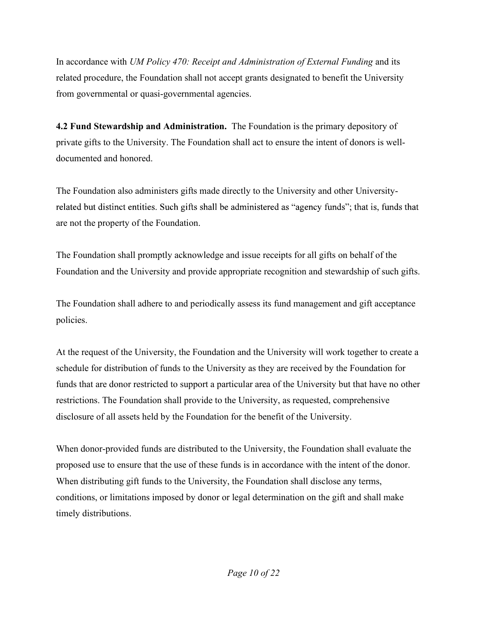In accordance with UM Policy 470: Receipt and Administration of External Funding and its related procedure, the Foundation shall not accept grants designated to benefit the University from governmental or quasi-governmental agencies.

4.2 Fund Stewardship and Administration. The Foundation is the primary depository of private gifts to the University. The Foundation shall act to ensure the intent of donors is welldocumented and honored.

The Foundation also administers gifts made directly to the University and other Universityrelated but distinct entities. Such gifts shall be administered as "agency funds"; that is, funds that are not the property of the Foundation.

The Foundation shall promptly acknowledge and issue receipts for all gifts on behalf of the Foundation and the University and provide appropriate recognition and stewardship of such gifts.

The Foundation shall adhere to and periodically assess its fund management and gift acceptance policies.

At the request of the University, the Foundation and the University will work together to create a schedule for distribution of funds to the University as they are received by the Foundation for funds that are donor restricted to support a particular area of the University but that have no other restrictions. The Foundation shall provide to the University, as requested, comprehensive disclosure of all assets held by the Foundation for the benefit of the University.

When donor-provided funds are distributed to the University, the Foundation shall evaluate the proposed use to ensure that the use of these funds is in accordance with the intent of the donor. When distributing gift funds to the University, the Foundation shall disclose any terms, conditions, or limitations imposed by donor or legal determination on the gift and shall make timely distributions.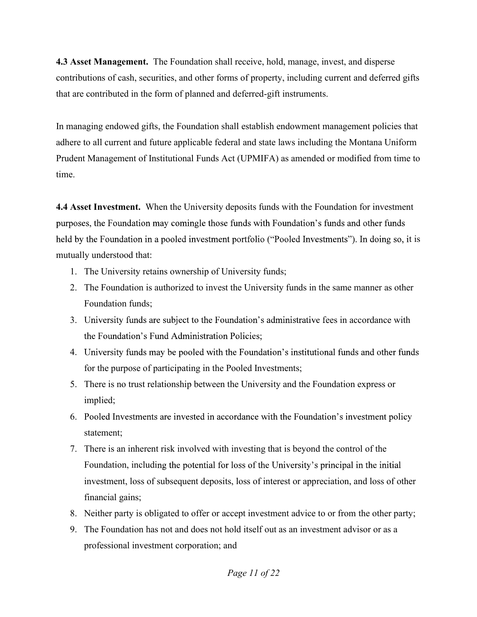4.3 Asset Management. The Foundation shall receive, hold, manage, invest, and disperse contributions of cash, securities, and other forms of property, including current and deferred gifts that are contributed in the form of planned and deferred-gift instruments.

In managing endowed gifts, the Foundation shall establish endowment management policies that adhere to all current and future applicable federal and state laws including the Montana Uniform Prudent Management of Institutional Funds Act (UPMIFA) as amended or modified from time to time.

4.4 Asset Investment. When the University deposits funds with the Foundation for investment purposes, the Foundation may comingle those funds with Foundation's funds and other funds held by the Foundation in a pooled investment portfolio ("Pooled Investments"). In doing so, it is mutually understood that:

- 1. The University retains ownership of University funds;
- 2. The Foundation is authorized to invest the University funds in the same manner as other Foundation funds;
- 3. University funds are subject to the Foundation's administrative fees in accordance with the Foundation's Fund Administration Policies:
- 4. University funds may be pooled with the Foundation's institutional funds and other funds for the purpose of participating in the Pooled Investments;
- 5. There is no trust relationship between the University and the Foundation express or implied;
- 6. Pooled Investments are invested in accordance with the Foundation's investment policy statement;
- 7. There is an inherent risk involved with investing that is beyond the control of the Foundation, including the potential for loss of the University's principal in the initial investment, loss of subsequent deposits, loss of interest or appreciation, and loss of other financial gains;
- 8. Neither party is obligated to offer or accept investment advice to or from the other party;
- 9. The Foundation has not and does not hold itself out as an investment advisor or as a professional investment corporation; and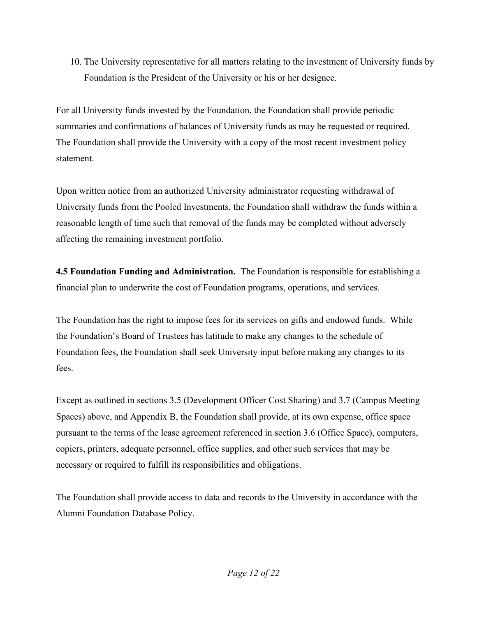10. The University representative for all matters relating to the investment of University funds by Foundation is the President of the University or his or her designee.

For all University funds invested by the Foundation, the Foundation shall provide periodic summaries and confirmations of balances of University funds as may be requested or required. The Foundation shall provide the University with a copy of the most recent investment policy statement.

Upon written notice from an authorized University administrator requesting withdrawal of University funds from the Pooled Investments, the Foundation shall withdraw the funds within a reasonable length of time such that removal of the funds may be completed without adversely affecting the remaining investment portfolio.

4.5 Foundation Funding and Administration. The Foundation is responsible for establishing a financial plan to underwrite the cost of Foundation programs, operations, and services.

The Foundation has the right to impose fees for its services on gifts and endowed funds. While the Foundation's Board of Trustees has latitude to make any changes to the schedule of Foundation fees, the Foundation shall seek University input before making any changes to its fees.

Except as outlined in sections 3.5 (Development Officer Cost Sharing) and 3.7 (Campus Meeting Spaces) above, and Appendix B, the Foundation shall provide, at its own expense, office space pursuant to the terms of the lease agreement referenced in section 3.6 (Office Space), computers, copiers, printers, adequate personnel, office supplies, and other such services that may be necessary or required to fulfill its responsibilities and obligations.

The Foundation shall provide access to data and records to the University in accordance with the Alumni Foundation Database Policy.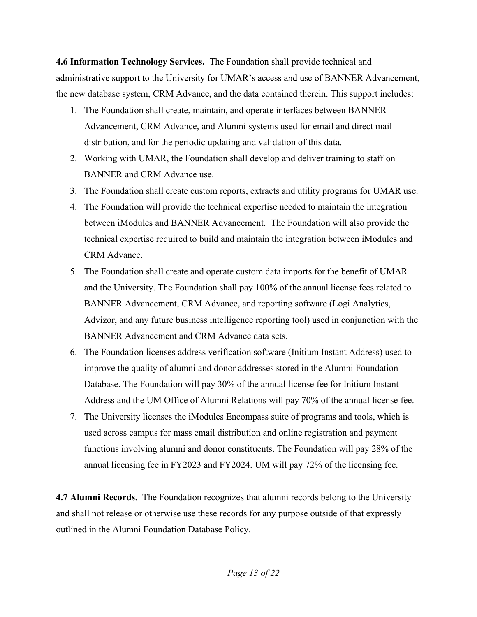4.6 Information Technology Services. The Foundation shall provide technical and administrative support to the University for UMAR's access and use of BANNER Advancement, the new database system, CRM Advance, and the data contained therein. This support includes:

- 1. The Foundation shall create, maintain, and operate interfaces between BANNER Advancement, CRM Advance, and Alumni systems used for email and direct mail distribution, and for the periodic updating and validation of this data.
- 2. Working with UMAR, the Foundation shall develop and deliver training to staff on BANNER and CRM Advance use.
- 3. The Foundation shall create custom reports, extracts and utility programs for UMAR use.
- 4. The Foundation will provide the technical expertise needed to maintain the integration between iModules and BANNER Advancement. The Foundation will also provide the technical expertise required to build and maintain the integration between iModules and CRM Advance.
- 5. The Foundation shall create and operate custom data imports for the benefit of UMAR and the University. The Foundation shall pay 100% of the annual license fees related to BANNER Advancement, CRM Advance, and reporting software (Logi Analytics, Advizor, and any future business intelligence reporting tool) used in conjunction with the BANNER Advancement and CRM Advance data sets.
- 6. The Foundation licenses address verification software (Initium Instant Address) used to improve the quality of alumni and donor addresses stored in the Alumni Foundation Database. The Foundation will pay 30% of the annual license fee for Initium Instant Address and the UM Office of Alumni Relations will pay 70% of the annual license fee.
- 7. The University licenses the iModules Encompass suite of programs and tools, which is used across campus for mass email distribution and online registration and payment functions involving alumni and donor constituents. The Foundation will pay 28% of the annual licensing fee in FY2023 and FY2024. UM will pay 72% of the licensing fee.

4.7 Alumni Records. The Foundation recognizes that alumni records belong to the University and shall not release or otherwise use these records for any purpose outside of that expressly outlined in the Alumni Foundation Database Policy.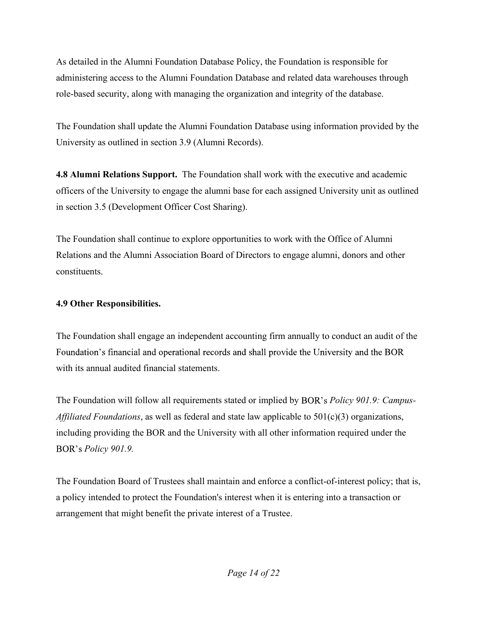As detailed in the Alumni Foundation Database Policy, the Foundation is responsible for administering access to the Alumni Foundation Database and related data warehouses through role-based security, along with managing the organization and integrity of the database.

The Foundation shall update the Alumni Foundation Database using information provided by the University as outlined in section 3.9 (Alumni Records).

4.8 Alumni Relations Support. The Foundation shall work with the executive and academic officers of the University to engage the alumni base for each assigned University unit as outlined in section 3.5 (Development Officer Cost Sharing).

The Foundation shall continue to explore opportunities to work with the Office of Alumni Relations and the Alumni Association Board of Directors to engage alumni, donors and other constituents.

4.9 Other Responsibilities.<br>The Foundation shall engage an independent accounting firm annually to conduct an audit of the Foundation's financial and operational records and shall provide the University and the BOR with its annual audited financial statements.

The Foundation will follow all requirements stated or implied by BOR's *Policy 901.9: Campus-Affiliated Foundations*, as well as federal and state law applicable to  $501(c)(3)$  organizations, including providing the BOR and the University with all other information required under the **BOR's Policy 901.9.** 

The Foundation Board of Trustees shall maintain and enforce a conflict-of-interest policy; that is, a policy intended to protect the Foundation's interest when it is entering into a transaction or arrangement that might benefit the private interest of a Trustee.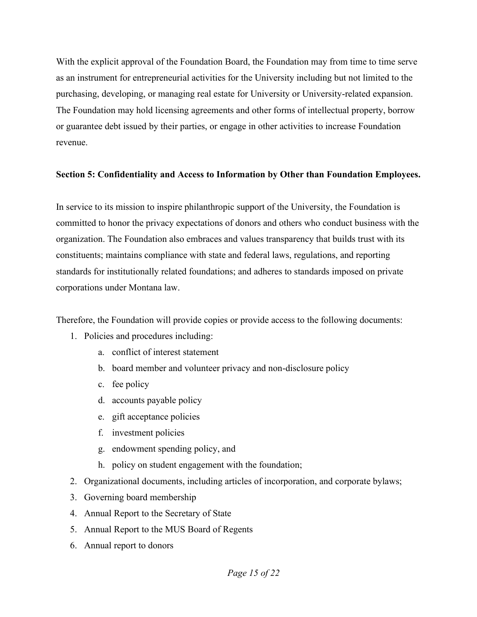With the explicit approval of the Foundation Board, the Foundation may from time to time serve as an instrument for entrepreneurial activities for the University including but not limited to the purchasing, developing, or managing real estate for University or University-related expansion. The Foundation may hold licensing agreements and other forms of intellectual property, borrow or guarantee debt issued by their parties, or engage in other activities to increase Foundation revenue.

#### Section 5: Confidentiality and Access to Information by Other than Foundation Employees.

In service to its mission to inspire philanthropic support of the University, the Foundation is committed to honor the privacy expectations of donors and others who conduct business with the organization. The Foundation also embraces and values transparency that builds trust with its constituents; maintains compliance with state and federal laws, regulations, and reporting standards for institutionally related foundations; and adheres to standards imposed on private corporations under Montana law.

Therefore, the Foundation will provide copies or provide access to the following documents:

- 1. Policies and procedures including:
	- a. conflict of interest statement
	- b. board member and volunteer privacy and non-disclosure policy
	- c. fee policy
	- d. accounts payable policy
	- e. gift acceptance policies
	- f. investment policies
	- g. endowment spending policy, and
	- h. policy on student engagement with the foundation;
- 2. Organizational documents, including articles of incorporation, and corporate bylaws;
- 3. Governing board membership
- 4. Annual Report to the Secretary of State
- 5. Annual Report to the MUS Board of Regents
- 6. Annual report to donors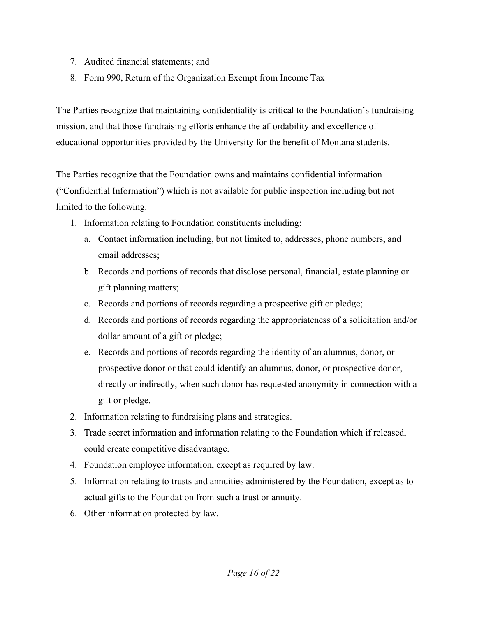- 7. Audited financial statements; and
- 8. Form 990, Return of the Organization Exempt from Income Tax

The Parties recognize that maintaining confidentiality is critical to the Foundation's fundraising mission, and that those fundraising efforts enhance the affordability and excellence of educational opportunities provided by the University for the benefit of Montana students.

The Parties recognize that the Foundation owns and maintains confidential information ("Confidential Information") which is not available for public inspection including but not limited to the following.

- 1. Information relating to Foundation constituents including:
	- a. Contact information including, but not limited to, addresses, phone numbers, and email addresses;
	- b. Records and portions of records that disclose personal, financial, estate planning or gift planning matters;
	- c. Records and portions of records regarding a prospective gift or pledge;
	- d. Records and portions of records regarding the appropriateness of a solicitation and/or dollar amount of a gift or pledge;
	- e. Records and portions of records regarding the identity of an alumnus, donor, or prospective donor or that could identify an alumnus, donor, or prospective donor, directly or indirectly, when such donor has requested anonymity in connection with a gift or pledge.
- 2. Information relating to fundraising plans and strategies.
- 3. Trade secret information and information relating to the Foundation which if released, could create competitive disadvantage.
- 4. Foundation employee information, except as required by law.
- 5. Information relating to trusts and annuities administered by the Foundation, except as to actual gifts to the Foundation from such a trust or annuity.
- 6. Other information protected by law.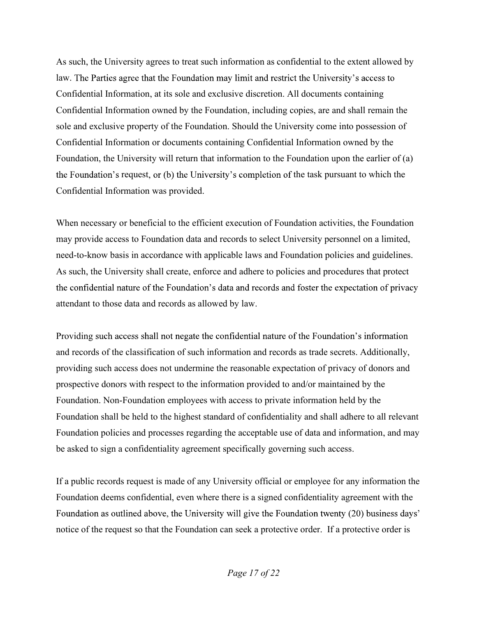As such, the University agrees to treat such information as confidential to the extent allowed by law. The Parties agree that the Foundation may limit and restrict the University's access to Confidential Information, at its sole and exclusive discretion. All documents containing Confidential Information owned by the Foundation, including copies, are and shall remain the sole and exclusive property of the Foundation. Should the University come into possession of Confidential Information or documents containing Confidential Information owned by the Foundation, the University will return that information to the Foundation upon the earlier of (a) the Foundation's request, or (b) the University's completion of the task pursuant to which the Confidential Information was provided.

When necessary or beneficial to the efficient execution of Foundation activities, the Foundation may provide access to Foundation data and records to select University personnel on a limited, need-to-know basis in accordance with applicable laws and Foundation policies and guidelines. As such, the University shall create, enforce and adhere to policies and procedures that protect the confidential nature of the Foundation's data and records and foster the expectation of privacy attendant to those data and records as allowed by law.

Providing such access shall not negate the confidential nature of the Foundation's information and records of the classification of such information and records as trade secrets. Additionally, providing such access does not undermine the reasonable expectation of privacy of donors and prospective donors with respect to the information provided to and/or maintained by the Foundation. Non-Foundation employees with access to private information held by the Foundation shall be held to the highest standard of confidentiality and shall adhere to all relevant Foundation policies and processes regarding the acceptable use of data and information, and may be asked to sign a confidentiality agreement specifically governing such access.

If a public records request is made of any University official or employee for any information the Foundation deems confidential, even where there is a signed confidentiality agreement with the Foundation as outlined above, the University will give the Foundation twenty (20) business days' notice of the request so that the Foundation can seek a protective order. If a protective order is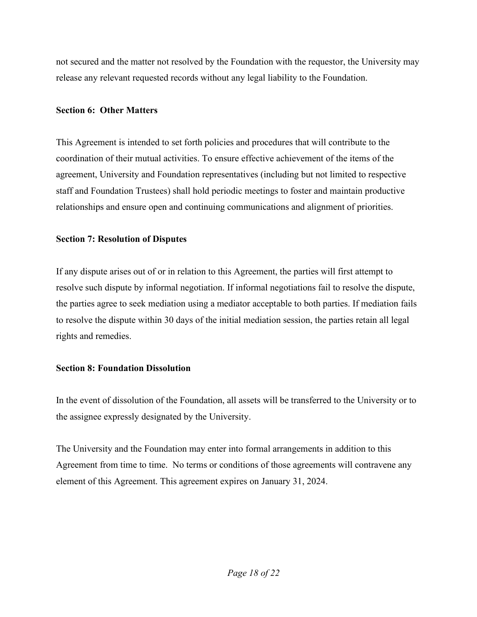not secured and the matter not resolved by the Foundation with the requestor, the University may release any relevant requested records without any legal liability to the Foundation.

#### Section 6: Other Matters

This Agreement is intended to set forth policies and procedures that will contribute to the coordination of their mutual activities. To ensure effective achievement of the items of the agreement, University and Foundation representatives (including but not limited to respective staff and Foundation Trustees) shall hold periodic meetings to foster and maintain productive relationships and ensure open and continuing communications and alignment of priorities.

#### Section 7: Resolution of Disputes

If any dispute arises out of or in relation to this Agreement, the parties will first attempt to resolve such dispute by informal negotiation. If informal negotiations fail to resolve the dispute, the parties agree to seek mediation using a mediator acceptable to both parties. If mediation fails to resolve the dispute within 30 days of the initial mediation session, the parties retain all legal rights and remedies.

### Section 8: Foundation Dissolution

In the event of dissolution of the Foundation, all assets will be transferred to the University or to the assignee expressly designated by the University.

The University and the Foundation may enter into formal arrangements in addition to this Agreement from time to time. No terms or conditions of those agreements will contravene any element of this Agreement. This agreement expires on January 31, 2024.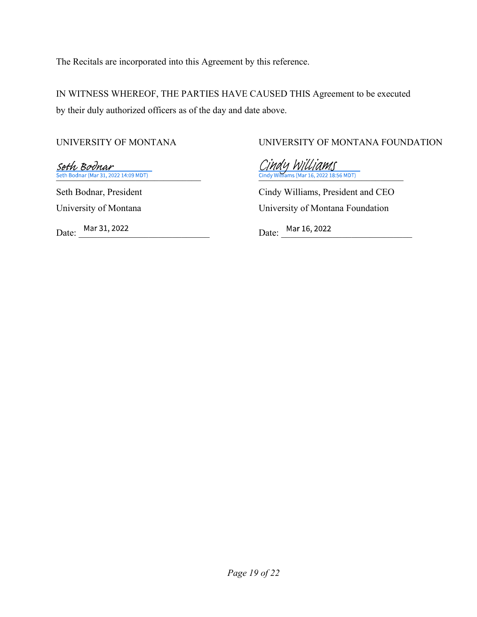The Recitals are incorporated into this Agreement by this reference.

IN WITNESS WHEREOF, THE PARTIES HAVE CAUSED THIS Agreement to be executed by their duly authorized officers as of the day and date above.

UNIVERSITY OF MONTANA<br>
UNIVERSITY OF MONTANA FOUNDATION<br>
Seth Bodnar (Mar 31, 2022 14:09 MDT)<br>
Seth Bodnar (Mar 31, 2022 14:09 MDT)<br>
Seth Bodnar, President Cindy Williams, President and CEO

University of Montana University of Montana Foundation

Date: <u>Mar 31, 2022</u> Date: Mar 16, 2022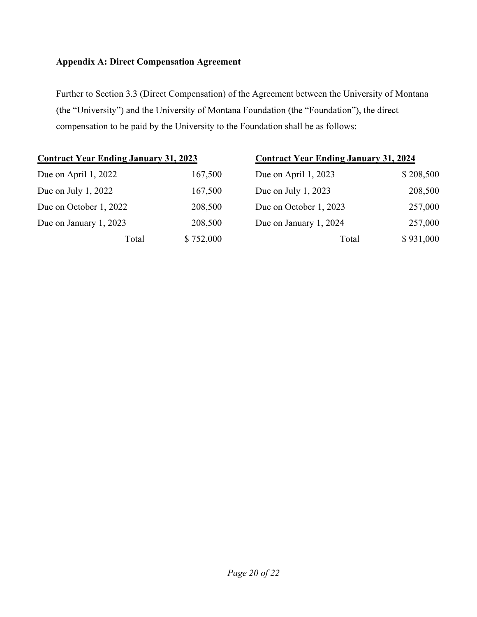## Appendix A: Direct Compensation Agreement

Further to Section 3.3 (Direct Compensation) of the Agreement between the University of Montana (the "University") and the University of Montana Foundation (the "Foundation"), the direct compensation to be paid by the University to the Foundation shall be as follows:

| <b>Contract Year Ending January 31, 2023</b> |       |           | <b>Contract Year Ending January 31, 2024</b> |           |
|----------------------------------------------|-------|-----------|----------------------------------------------|-----------|
| Due on April 1, 2022                         |       | 167,500   | Due on April 1, 2023                         | \$208,500 |
| Due on July $1, 2022$                        |       | 167,500   | Due on July $1, 2023$                        | 208,500   |
| Due on October 1, 2022                       |       | 208,500   | Due on October 1, 2023                       | 257,000   |
| Due on January 1, 2023                       |       | 208,500   | Due on January 1, 2024                       | 257,000   |
|                                              | Total | \$752,000 | Total                                        | \$931,000 |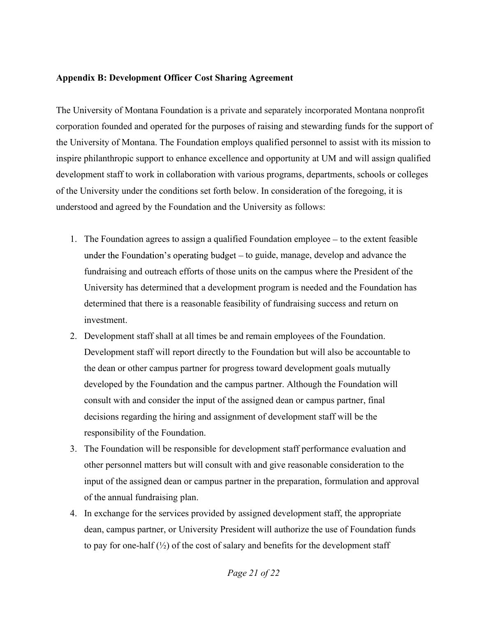#### Appendix B: Development Officer Cost Sharing Agreement

The University of Montana Foundation is a private and separately incorporated Montana nonprofit corporation founded and operated for the purposes of raising and stewarding funds for the support of the University of Montana. The Foundation employs qualified personnel to assist with its mission to inspire philanthropic support to enhance excellence and opportunity at UM and will assign qualified development staff to work in collaboration with various programs, departments, schools or colleges of the University under the conditions set forth below. In consideration of the foregoing, it is understood and agreed by the Foundation and the University as follows:

- 1. The Foundation agrees to assign a qualified Foundation employee  $-$  to the extent feasible under the Foundation's operating budget – to guide, manage, develop and advance the fundraising and outreach efforts of those units on the campus where the President of the University has determined that a development program is needed and the Foundation has determined that there is a reasonable feasibility of fundraising success and return on investment.
- 2. Development staff shall at all times be and remain employees of the Foundation. Development staff will report directly to the Foundation but will also be accountable to the dean or other campus partner for progress toward development goals mutually developed by the Foundation and the campus partner. Although the Foundation will consult with and consider the input of the assigned dean or campus partner, final decisions regarding the hiring and assignment of development staff will be the responsibility of the Foundation.
- 3. The Foundation will be responsible for development staff performance evaluation and other personnel matters but will consult with and give reasonable consideration to the input of the assigned dean or campus partner in the preparation, formulation and approval of the annual fundraising plan.
- 4. In exchange for the services provided by assigned development staff, the appropriate dean, campus partner, or University President will authorize the use of Foundation funds to pay for one-half  $(\frac{1}{2})$  of the cost of salary and benefits for the development staff